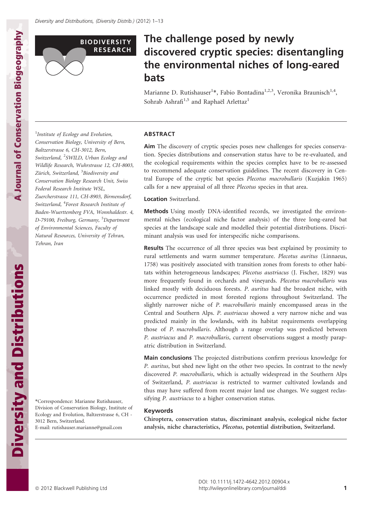

# The challenge posed by newly discovered cryptic species: disentangling the environmental niches of long-eared bats

Marianne D. Rutishauser<sup>1</sup>\*, Fabio Bontadina<sup>1,2,3</sup>, Veronika Braunisch<sup>1,4</sup>, Sohrab Ashrafi<sup>1,5</sup> and Raphaël Arlettaz<sup>1</sup>

<sup>1</sup>Institute of Ecology and Evolution, Conservation Biology, University of Bern, Baltzerstrasse 6, CH-3012, Bern, Switzerland, <sup>2</sup>SWILD, Urban Ecology and Wildlife Research, Wuhrstrasse 12, CH-8003, Zürich, Switzerland, <sup>3</sup>Biodiversity and Conservation Biology Research Unit, Swiss Federal Research Institute WSL, Zuercherstrasse 111, CH-8903, Birmensdorf, Switzerland, <sup>4</sup>Forest Research Institute of Baden-Wuerttemberg FVA, Wonnhaldestr. 4, D-79100, Freiburg, Germany, <sup>5</sup>Department of Environmental Sciences, Faculty of Natural Resources, University of Tehran, Tehran, Iran

\*Correspondence: Marianne Rutishauser, Division of Conservation Biology, Institute of Ecology and Evolution, Baltzerstrasse 6, CH - 3012 Bern, Switzerland. E-mail: rutishauser.marianne@gmail.com

# ABSTRACT

Aim The discovery of cryptic species poses new challenges for species conservation. Species distributions and conservation status have to be re-evaluated, and the ecological requirements within the species complex have to be re-assessed to recommend adequate conservation guidelines. The recent discovery in Central Europe of the cryptic bat species Plecotus macrobullaris (Kuzjakin 1965) calls for a new appraisal of all three Plecotus species in that area.

## Location Switzerland.

Methods Using mostly DNA-identified records, we investigated the environmental niches (ecological niche factor analysis) of the three long-eared bat species at the landscape scale and modelled their potential distributions. Discriminant analysis was used for interspecific niche comparisons.

Results The occurrence of all three species was best explained by proximity to rural settlements and warm summer temperature. Plecotus auritus (Linnaeus, 1758) was positively associated with transition zones from forests to other habitats within heterogeneous landscapes; Plecotus austriacus (J. Fischer, 1829) was more frequently found in orchards and vineyards. Plecotus macrobullaris was linked mostly with deciduous forests. P. auritus had the broadest niche, with occurrence predicted in most forested regions throughout Switzerland. The slightly narrower niche of P. macrobullaris mainly encompassed areas in the Central and Southern Alps. P. austriacus showed a very narrow niche and was predicted mainly in the lowlands, with its habitat requirements overlapping those of P. macrobullaris. Although a range overlap was predicted between P. austriacus and P. macrobullaris, current observations suggest a mostly parapatric distribution in Switzerland.

Main conclusions The projected distributions confirm previous knowledge for P. auritus, but shed new light on the other two species. In contrast to the newly discovered P. macrobullaris, which is actually widespread in the Southern Alps of Switzerland, P. austriacus is restricted to warmer cultivated lowlands and thus may have suffered from recent major land use changes. We suggest reclassifying P. austriacus to a higher conservation status.

# Keywords

Chiroptera, conservation status, discriminant analysis, ecological niche factor analysis, niche characteristics, Plecotus, potential distribution, Switzerland.

Diversity and Distributions

**Diversity and Distributions**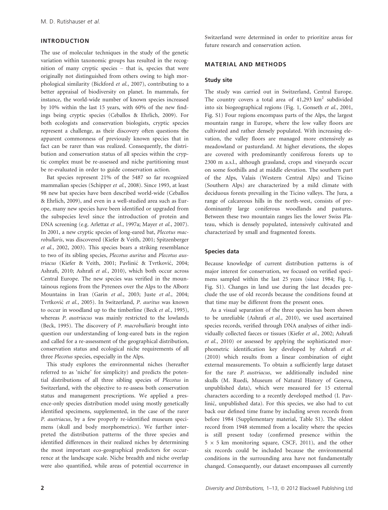# INTRODUCTION

The use of molecular techniques in the study of the genetic variation within taxonomic groups has resulted in the recognition of many cryptic species – that is, species that were originally not distinguished from others owing to high morphological similarity (Bickford et al., 2007), contributing to a better appraisal of biodiversity on planet. In mammals, for instance, the world-wide number of known species increased by 10% within the last 15 years, with 60% of the new findings being cryptic species (Ceballos & Ehrlich, 2009). For both ecologists and conservation biologists, cryptic species represent a challenge, as their discovery often questions the apparent commonness of previously known species that in fact can be rarer than was realized. Consequently, the distribution and conservation status of all species within the cryptic complex must be re-assessed and niche partitioning must be re-evaluated in order to guide conservation action.

Bat species represent 21% of the 5487 so far recognized mammalian species (Schipper et al., 2008). Since 1993, at least 98 new bat species have been described world-wide (Ceballos & Ehrlich, 2009), and even in a well-studied area such as Europe, many new species have been identified or upgraded from the subspecies level since the introduction of protein and DNA screening (e.g. Arlettaz et al., 1997a; Mayer et al., 2007). In 2001, a new cryptic species of long-eared bat, Plecotus macrobullaris, was discovered (Kiefer & Veith, 2001; Spitzenberger et al., 2002, 2003). This species bears a striking resemblance to two of its sibling species, Plecotus auritus and Plecotus austriacus (Kiefer & Veith, 2001; Pavlinić & Tvrtković, 2004; Ashrafi, 2010; Ashrafi et al., 2010), which both occur across Central Europe. The new species was verified in the mountainous regions from the Pyrenees over the Alps to the Alborz Mountains in Iran (Garin et al., 2003; Juste et al., 2004; Tvrtković et al., 2005). In Switzerland, P. auritus was known to occur in woodland up to the timberline (Beck et al., 1995), whereas P. austriacus was mainly restricted to the lowlands (Beck, 1995). The discovery of P. macrobullaris brought into question our understanding of long-eared bats in the region and called for a re-assessment of the geographical distribution, conservation status and ecological niche requirements of all three Plecotus species, especially in the Alps.

This study explores the environmental niches (hereafter referred to as 'niche' for simplicity) and predicts the potential distributions of all three sibling species of Plecotus in Switzerland, with the objective to re-assess both conservation status and management prescriptions. We applied a presence-only species distribution model using mostly genetically identified specimens, supplemented, in the case of the rarer P. austriacus, by a few properly re-identified museum specimens (skull and body morphometrics). We further interpreted the distribution patterns of the three species and identified differences in their realized niches by determining the most important eco-geographical predictors for occurrence at the landscape scale. Niche breadth and niche overlap were also quantified, while areas of potential occurrence in

Switzerland were determined in order to prioritize areas for future research and conservation action.

#### MATERIAL AND METHODS

#### Study site

The study was carried out in Switzerland, Central Europe. The country covers a total area of  $41,293$  km<sup>2</sup> subdivided into six biogeographical regions (Fig. 1, Gonseth et al., 2001, Fig. S1) Four regions encompass parts of the Alps, the largest mountain range in Europe, where the low valley floors are cultivated and rather densely populated. With increasing elevation, the valley floors are managed more extensively as meadowland or pastureland. At higher elevations, the slopes are covered with predominantly coniferous forests up to 2300 m a.s.l., although grassland, crops and vineyards occur on some foothills and at middle elevation. The southern part of the Alps, Valais (Western Central Alps) and Ticino (Southern Alps) are characterized by a mild climate with deciduous forests prevailing in the Ticino valleys. The Jura, a range of calcareous hills in the north-west, consists of predominantly large coniferous woodlands and pastures. Between these two mountain ranges lies the lower Swiss Plateau, which is densely populated, intensively cultivated and characterized by small and fragmented forests.

# Species data

Because knowledge of current distribution patterns is of major interest for conservation, we focused on verified specimens sampled within the last 25 years (since 1984; Fig. 1, Fig. S1). Changes in land use during the last decades preclude the use of old records because the conditions found at that time may be different from the present ones.

As a visual separation of the three species has been shown to be unreliable (Ashrafi et al., 2010), we used ascertained species records, verified through DNA analyses of either individually collected faeces or tissues (Kiefer et al., 2002; Ashrafi et al., 2010) or assessed by applying the sophisticated morphometric identification key developed by Ashrafi et al. (2010) which results from a linear combination of eight external measurements. To obtain a sufficiently large dataset for the rare P. austriacus, we additionally included nine skulls (M. Ruedi, Museum of Natural History of Geneva, unpublished data), which were measured for 15 external characters according to a recently developed method (I. Pavlinić, unpublished data). For this species, we also had to cut back our defined time frame by including seven records from before 1984 (Supplementary material, Table S1). The oldest record from 1948 stemmed from a locality where the species is still present today (confirmed presence within the  $5 \times 5$  km monitoring square, CSCF, 2011), and the other six records could be included because the environmental conditions in the surrounding area have not fundamentally changed. Consequently, our dataset encompasses all currently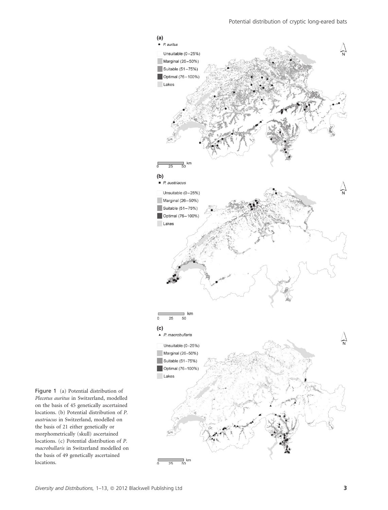

Figure 1 (a) Potential distribution of Plecotus auritus in Switzerland, modelled on the basis of 45 genetically ascertained locations. (b) Potential distribution of P. austriacus in Switzerland, modelled on the basis of 21 either genetically or morphometrically (skull) ascertained locations. (c) Potential distribution of P. macrobullaris in Switzerland modelled on the basis of 49 genetically ascertained locations.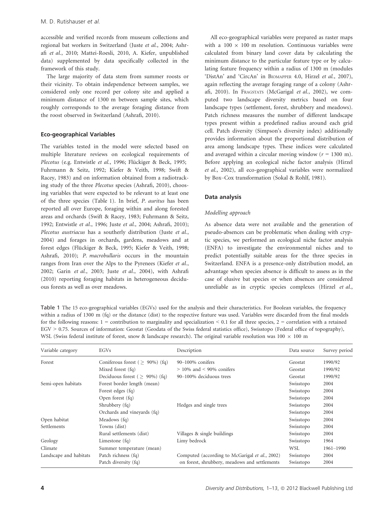accessible and verified records from museum collections and regional bat workers in Switzerland (Juste et al., 2004; Ashrafi et al., 2010; Mattei-Roesli, 2010, A. Kiefer, unpublished data) supplemented by data specifically collected in the framework of this study.

The large majority of data stem from summer roosts or their vicinity. To obtain independence between samples, we considered only one record per colony site and applied a minimum distance of 1300 m between sample sites, which roughly corresponds to the average foraging distance from the roost observed in Switzerland (Ashrafi, 2010).

# Eco-geographical Variables

The variables tested in the model were selected based on multiple literature reviews on ecological requirements of Plecotus (e.g. Entwistle et al., 1996; Flückiger & Beck, 1995; Fuhrmann & Seitz, 1992; Kiefer & Veith, 1998; Swift & Racey, 1983) and on information obtained from a radiotracking study of the three Plecotus species (Ashrafi, 2010), choosing variables that were expected to be relevant to at least one of the three species (Table 1). In brief, P. auritus has been reported all over Europe, foraging within and along forested areas and orchards (Swift & Racey, 1983; Fuhrmann & Seitz, 1992; Entwistle et al., 1996; Juste et al., 2004; Ashrafi, 2010); Plecotus austriacus has a southerly distribution (Juste et al., 2004) and forages in orchards, gardens, meadows and at forest edges (Flückiger & Beck, 1995; Kiefer & Veith, 1998; Ashrafi, 2010); P. macrobullaris occurs in the mountain ranges from Iran over the Alps to the Pyrenees (Kiefer et al., 2002; Garin et al., 2003; Juste et al., 2004), with Ashrafi (2010) reporting foraging habitats in heterogeneous deciduous forests as well as over meadows.

All eco-geographical variables were prepared as raster maps with a  $100 \times 100$  m resolution. Continuous variables were calculated from binary land cover data by calculating the minimum distance to the particular feature type or by calculating feature frequency within a radius of 1300 m (modules 'DistAn' and 'CircAn' in BIOMAPPER 4.0, Hirzel et al., 2007), again reflecting the average foraging range of a colony (Ashrafi, 2010). In FRAGSTATS (McGarigal et al., 2002), we computed two landscape diversity metrics based on four landscape types (settlement, forest, shrubbery and meadows). Patch richness measures the number of different landscape types present within a predefined radius around each grid cell. Patch diversity (Simpson's diversity index) additionally provides information about the proportional distribution of area among landscape types. These indices were calculated and averaged within a circular moving window  $(r = 1300 \text{ m})$ . Before applying an ecological niche factor analysis (Hirzel et al., 2002), all eco-geographical variables were normalized by Box–Cox transformation (Sokal & Rohlf, 1981).

#### Data analysis

## Modelling approach

As absence data were not available and the generation of pseudo-absences can be problematic when dealing with cryptic species, we performed an ecological niche factor analysis (ENFA) to investigate the environmental niches and to predict potentially suitable areas for the three species in Switzerland. ENFA is a presence-only distribution model, an advantage when species absence is difficult to assess as in the case of elusive bat species or when absences are considered unreliable as in cryptic species complexes (Hirzel et al.,

Table 1 The 15 eco-geographical variables (EGVs) used for the analysis and their characteristics. For Boolean variables, the frequency within a radius of 1300 m (fq) or the distance (dist) to the respective feature was used. Variables were discarded from the final models for the following reasons:  $1 =$  contribution to marginality and specialization < 0.1 for all three species,  $2 =$  correlation with a retained EGV > 0.75. Sources of information: Geostat (Geodata of the Swiss federal statistics office), Swisstopo (Federal office of topography), WSL (Swiss federal institute of forest, snow & landscape research). The original variable resolution was  $100 \times 100$  m

| Variable category      | EGVs                                  | Description                                    | Data source | Survey period |
|------------------------|---------------------------------------|------------------------------------------------|-------------|---------------|
| Forest                 | Coniferous forest ( $> 90\%$ ) (fq)   | $90-100\%$ conifers                            | Geostat     | 1990/92       |
|                        | Mixed forest (fq)                     | $> 10\%$ and $< 90\%$ conifers                 | Geostat     | 1990/92       |
|                        | Deciduous forest ( $\geq 90\%$ ) (fq) | 90-100% deciduous trees                        | Geostat     | 1990/92       |
| Semi-open habitats     | Forest border length (mean)           |                                                | Swisstopo   | 2004          |
|                        | Forest edges (fq)                     |                                                | Swisstopo   | 2004          |
|                        | Open forest (fq)                      |                                                | Swisstopo   | 2004          |
|                        | Shrubbery (fq)                        | Hedges and single trees                        | Swisstopo   | 2004          |
|                        | Orchards and vineyards (fq)           |                                                | Swisstopo   | 2004          |
| Open habitat           | Meadows (fq)                          |                                                | Swisstopo   | 2004          |
| Settlements            | Towns (dist)                          |                                                | Swisstopo   | 2004          |
|                        | Rural settlements (dist)              | Villages & single buildings                    | Swisstopo   | 2004          |
| Geology                | Limestone $(fq)$                      | Limy bedrock                                   | Swisstopo   | 1964          |
| Climate                | Summer temperature (mean)             |                                                | WSL         | 1961-1990     |
| Landscape and habitats | Patch richness (fq)                   | Computed (according to McGarigal et al., 2002) | Swisstopo   | 2004          |
|                        | Patch diversity (fq)                  | on forest, shrubbery, meadows and settlements  | Swisstopo   | 2004          |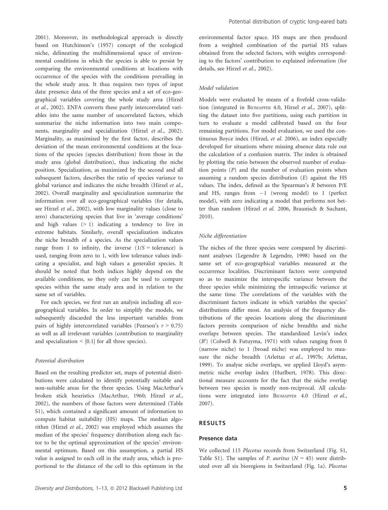2001). Moreover, its methodological approach is directly based on Hutchinson's (1957) concept of the ecological niche, delineating the multidimensional space of environmental conditions in which the species is able to persist by comparing the environmental conditions at locations with occurrence of the species with the conditions prevailing in the whole study area. It thus requires two types of input data: presence data of the three species and a set of eco-geographical variables covering the whole study area (Hirzel et al., 2002). ENFA converts these partly intercorrelated variables into the same number of uncorrelated factors, which summarize the niche information into two main components, marginality and specialization (Hirzel et al., 2002). Marginality, as maximized by the first factor, describes the deviation of the mean environmental conditions at the locations of the species (species distribution) from those in the study area (global distribution), thus indicating the niche position. Specialization, as maximized by the second and all subsequent factors, describes the ratio of species variance to global variance and indicates the niche breadth (Hirzel et al., 2002). Overall marginality and specialization summarize the information over all eco-geographical variables (for details, see Hirzel et al., 2002), with low marginality values (close to zero) characterizing species that live in 'average conditions' and high values  $(> 1)$  indicating a tendency to live in extreme habitats. Similarly, overall specialization indicates the niche breadth of a species. As the specialization values range from 1 to infinity, the inverse  $(1/S = \text{tolerance})$  is used, ranging from zero to 1, with low tolerance values indicating a specialist, and high values a generalist species. It should be noted that both indices highly depend on the available conditions, so they only can be used to compare species within the same study area and in relation to the same set of variables.

For each species, we first ran an analysis including all ecogeographical variables. In order to simplify the models, we subsequently discarded the less important variables from pairs of highly intercorrelated variables (Pearson's  $r > 0.75$ ) as well as all irrelevant variables (contribution to marginality and specialization  $\leq$  [0.1] for all three species).

## Potential distribution

Based on the resulting predictor set, maps of potential distributions were calculated to identify potentially suitable and non-suitable areas for the three species. Using MacArthur's broken stick heuristics (MacArthur, 1960; Hirzel et al., 2002), the numbers of those factors were determined (Table S1), which contained a significant amount of information to compute habitat suitability (HS) maps. The median algorithm (Hirzel et al., 2002) was employed which assumes the median of the species' frequency distribution along each factor to be the optimal approximation of the species' environmental optimum. Based on this assumption, a partial HS value is assigned to each cell in the study area, which is proportional to the distance of the cell to this optimum in the

environmental factor space. HS maps are then produced from a weighted combination of the partial HS values obtained from the selected factors, with weights corresponding to the factors' contribution to explained information (for details, see Hirzel et al., 2002).

#### Model validation

Models were evaluated by means of a fivefold cross-validation (integrated in BIOMAPPER 4.0, Hirzel et al., 2007), splitting the dataset into five partitions, using each partition in turn to evaluate a model calibrated based on the four remaining partitions. For model evaluation, we used the continuous Boyce index (Hirzel, et al. 2006), an index especially developed for situations where missing absence data rule out the calculation of a confusion matrix. The index is obtained by plotting the ratio between the observed number of evaluation points (P) and the number of evaluation points when assuming a random species distribution (E) against the HS values. The index, defined as the Spearman's R between P/E and HS, ranges from  $-1$  (wrong model) to 1 (perfect model), with zero indicating a model that performs not better than random (Hirzel et al. 2006, Braunisch & Suchant, 2010).

#### Niche differentiation

The niches of the three species were compared by discriminant analyses (Legendre & Legendre, 1998) based on the same set of eco-geographical variables measured at the occurrence localities. Discriminant factors were computed so as to maximize the interspecific variance between the three species while minimizing the intraspecific variance at the same time. The correlations of the variables with the discriminant factors indicate in which variables the species' distributions differ most. An analysis of the frequency distributions of the species locations along the discriminant factors permits comparison of niche breadths and niche overlaps between species. The standardized Levin's index (B′) (Colwell & Futuyma, 1971) with values ranging from 0 (narrow niche) to 1 (broad niche) was employed to measure the niche breadth (Arlettaz et al., 1997b; Arlettaz, 1999). To analyse niche overlaps, we applied Lloyd's asymmetric niche overlap index (Hurlbert, 1978). This directional measure accounts for the fact that the niche overlap between two species is mostly non-reciprocal. All calculations were integrated into BIOMAPPER 4.0 (Hirzel et al., 2007).

#### RESULTS

# Presence data

We collected 115 Plecotus records from Switzerland (Fig. S1, Table S1). The samples of P. auritus  $(N = 45)$  were distributed over all six bioregions in Switzerland (Fig. 1a). Plecotus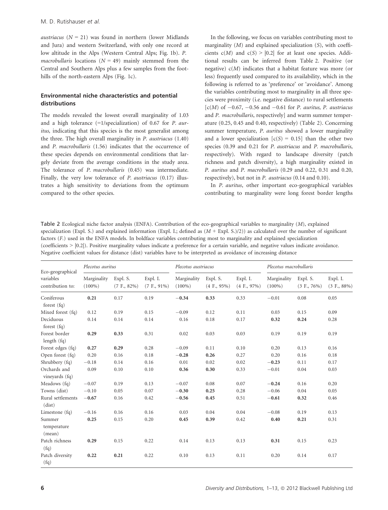austriacus ( $N = 21$ ) was found in northern (lower Midlands and Jura) and western Switzerland, with only one record at low altitude in the Alps (Western Central Alps; Fig. 1b). P. *macrobullaris* locations ( $N = 49$ ) mainly stemmed from the Central and Southern Alps plus a few samples from the foothills of the north-eastern Alps (Fig. 1c).

# Environmental niche characteristics and potential distributions

The models revealed the lowest overall marginality of 1.03 and a high tolerance (=1/specialization) of 0.67 for P. auritus, indicating that this species is the most generalist among the three. The high overall marginality in P. austriacus (1.40) and P. macrobullaris (1.56) indicates that the occurrence of these species depends on environmental conditions that largely deviate from the average conditions in the study area. The tolerance of P. macrobullaris (0.45) was intermediate. Finally, the very low tolerance of P. austriacus (0.17) illustrates a high sensitivity to deviations from the optimum compared to the other species.

In the following, we focus on variables contributing most to marginality  $(M)$  and explained specialization  $(S)$ , with coefficients  $c(M)$  and  $c(S) > |0.2|$  for at least one species. Additional results can be inferred from Table 2. Positive (or negative)  $c(M)$  indicates that a habitat feature was more (or less) frequently used compared to its availability, which in the following is referred to as 'preference' or 'avoidance'. Among the variables contributing most to marginality in all three species were proximity (i.e. negative distance) to rural settlements  $[c(M)$  of  $-0.67, -0.56$  and  $-0.61$  for P. auritus, P. austriacus and P. macrobullaris, respectively] and warm summer temperature (0.25, 0.45 and 0.40, respectively) (Table 2). Concerning summer temperature, P. auritus showed a lower marginality and a lower specialization  $[c(S) = 0.15]$  than the other two species (0.39 and 0.21 for P. austriacus and P. macrobullaris, respectively). With regard to landscape diversity (patch richness and patch diversity), a high marginality existed in P. auritus and P. macrobullaris (0.29 and 0.22, 0.31 and 0.20, respectively), but not in P. austriacus (0.14 and 0.10).

In P. auritus, other important eco-geographical variables contributing to marginality were long forest border lengths

Table 2 Ecological niche factor analysis (ENFA). Contribution of the eco-geographical variables to marginality (M), explained specialization (Expl. S.) and explained information (Expl. I.; defined as  $(M + Expl. S.)/2)$ ) as calculated over the number of significant factors (F.) used in the ENFA models. In boldface variables contributing most to marginality and explained specialization (coefficients > |0.2|). Positive marginality values indicate a preference for a certain variable, and negative values indicate avoidance. Negative coefficient values for distance (dist) variables have to be interpreted as avoidance of increasing distance

| Eco-geographical<br>variables<br>contribution to: | Plecotus auritus         |                            |                            | Plecotus austriacus      |                            |                            | Plecotus macrobullaris   |                            |                            |
|---------------------------------------------------|--------------------------|----------------------------|----------------------------|--------------------------|----------------------------|----------------------------|--------------------------|----------------------------|----------------------------|
|                                                   | Marginality<br>$(100\%)$ | Expl. S.<br>$(7 F., 82\%)$ | Expl. I.<br>$(7 F., 91\%)$ | Marginality<br>$(100\%)$ | Expl. S.<br>$(4 F., 95\%)$ | Expl. I.<br>$(4 F., 97\%)$ | Marginality<br>$(100\%)$ | Expl. S.<br>$(3 F., 76\%)$ | Expl. I.<br>$(3 F., 88\%)$ |
| Coniferous<br>forest $(fq)$                       | 0.21                     | 0.17                       | 0.19                       | $-0.34$                  | 0.33                       | 0.33                       | $-0.01$                  | 0.08                       | 0.05                       |
| Mixed forest (fq)                                 | 0.12                     | 0.19                       | 0.15                       | $-0.09$                  | 0.12                       | 0.11                       | 0.03                     | 0.15                       | 0.09                       |
| Deciduous<br>forest $(fq)$                        | 0.14                     | 0.14                       | 0.14                       | 0.16                     | 0.18                       | 0.17                       | 0.32                     | 0.24                       | 0.28                       |
| Forest border<br>length $(fq)$                    | 0.29                     | 0.33                       | 0.31                       | 0.02                     | 0.03                       | 0.03                       | 0.19                     | 0.19                       | 0.19                       |
| Forest edges (fq)                                 | 0.27                     | 0.29                       | 0.28                       | $-0.09$                  | 0.11                       | 0.10                       | 0.20                     | 0.13                       | 0.16                       |
| Open forest (fq)                                  | 0.20                     | 0.16                       | 0.18                       | $-0.28$                  | 0.26                       | 0.27                       | 0.20                     | 0.16                       | 0.18                       |
| Shrubbery (fq)                                    | $-0.18$                  | 0.14                       | 0.16                       | 0.01                     | 0.02                       | 0.02                       | $-0.23$                  | 0.11                       | 0.17                       |
| Orchards and<br>vineyards (fq)                    | 0.09                     | 0.10                       | 0.10                       | 0.36                     | 0.30                       | 0.33                       | $-0.01$                  | 0.04                       | 0.03                       |
| Meadows (fq)                                      | $-0.07$                  | 0.19                       | 0.13                       | $-0.07$                  | 0.08                       | 0.07                       | $-0.24$                  | 0.16                       | 0.20                       |
| Towns (dist)                                      | $-0.10$                  | 0.05                       | 0.07                       | $-0.30$                  | 0.25                       | 0.28                       | $-0.06$                  | 0.04                       | 0.05                       |
| Rural settlements<br>(dist)                       | $-0.67$                  | 0.16                       | 0.42                       | $-0.56$                  | 0.45                       | 0.51                       | $-0.61$                  | 0.32                       | 0.46                       |
| Limestone $(fq)$                                  | $-0.16$                  | 0.16                       | 0.16                       | 0.03                     | 0.04                       | 0.04                       | $-0.08$                  | 0.19                       | 0.13                       |
| Summer<br>temperature<br>(mean)                   | 0.25                     | 0.15                       | 0.20                       | 0.45                     | 0.39                       | 0.42                       | 0.40                     | 0.21                       | 0.31                       |
| Patch richness<br>(fq)                            | 0.29                     | 0.15                       | 0.22                       | 0.14                     | 0.13                       | 0.13                       | 0.31                     | 0.15                       | 0.23                       |
| Patch diversity<br>(fq)                           | 0.22                     | 0.21                       | 0.22                       | 0.10                     | 0.13                       | 0.11                       | 0.20                     | 0.14                       | 0.17                       |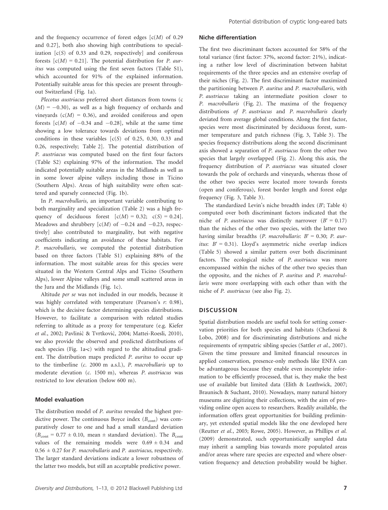and the frequency occurrence of forest edges  $[c(M)$  of 0.29 and 0.27], both also showing high contributions to specialization  $[c(S)$  of 0.33 and 0.29, respectively] and coniferous forests  $[c(M) = 0.21]$ . The potential distribution for *P. aur*itus was computed using the first seven factors (Table S1), which accounted for 91% of the explained information. Potentially suitable areas for this species are present throughout Switzerland (Fig. 1a).

Plecotus austriacus preferred short distances from towns (c  $(M) = -0.30$ , as well as a high frequency of orchards and vineyards  $(c(M) = 0.36)$ , and avoided coniferous and open forests  $[c(M)$  of  $-0.34$  and  $-0.28$ ], while at the same time showing a low tolerance towards deviations from optimal conditions in these variables  $[c(S)$  of 0.25, 0.30, 0.33 and 0.26, respectively; Table 2]. The potential distribution of P. austriacus was computed based on the first four factors (Table S2) explaining 97% of the information. The model indicated potentially suitable areas in the Midlands as well as in some lower alpine valleys including those in Ticino (Southern Alps). Areas of high suitability were often scattered and sparsely connected (Fig. 1b).

In P. macrobullaris, an important variable contributing to both marginality and specialization (Table 2) was a high frequency of deciduous forest  $[c(M) = 0.32; c(S) = 0.24]$ . Meadows and shrubbery  $[c(M)$  of  $-0.24$  and  $-0.23$ , respectively] also contributed to marginality, but with negative coefficients indicating an avoidance of these habitats. For P. macrobullaris, we computed the potential distribution based on three factors (Table S1) explaining 88% of the information. The most suitable areas for this species were situated in the Western Central Alps and Ticino (Southern Alps), lower Alpine valleys and some small scattered areas in the Jura and the Midlands (Fig. 1c).

Altitude per se was not included in our models, because it was highly correlated with temperature (Pearson's  $r: 0.98$ ), which is the decisive factor determining species distributions. However, to facilitate a comparison with related studies referring to altitude as a proxy for temperature (e.g. Kiefer et al., 2002; Pavlinić & Tvrtković, 2004; Mattei-Roesli, 2010), we also provide the observed and predicted distributions of each species (Fig. 1a‐c) with regard to the altitudinal gradient. The distribution maps predicted P. auritus to occur up to the timberline (c. 2000 m a.s.l.), P. macrobullaris up to moderate elevation (c. 1500 m), whereas P. austriacus was restricted to low elevation (below 600 m).

# Model evaluation

The distribution model of P. auritus revealed the highest predictive power. The continuous Boyce index  $(B<sub>cont</sub>)$  was comparatively closer to one and had a small standard deviation  $(B<sub>cont</sub> = 0.77 \pm 0.10$ , mean  $\pm$  standard deviation). The  $B<sub>cont</sub>$ values of the remaining models were  $0.69 \pm 0.34$  and  $0.56 \pm 0.27$  for P. macrobullaris and P. austriacus, respectively. The larger standard deviations indicate a lower robustness of the latter two models, but still an acceptable predictive power.

# Niche differentiation

The first two discriminant factors accounted for 58% of the total variance (first factor: 37%, second factor: 21%), indicating a rather low level of discrimination between habitat requirements of the three species and an extensive overlap of their niches (Fig. 2). The first discriminant factor maximized the partitioning between P. auritus and P. macrobullaris, with P. austriacus taking an intermediate position closer to P. macrobullaris (Fig. 2). The maxima of the frequency distributions of P. austriacus and P. macrobullaris clearly deviated from average global conditions. Along the first factor, species were most discriminated by deciduous forest, summer temperature and patch richness (Fig. 3, Table 3). The species frequency distributions along the second discriminant axis showed a separation of P. austriacus from the other two species that largely overlapped (Fig. 2). Along this axis, the frequency distribution of P. austriacus was situated closer towards the pole of orchards and vineyards, whereas those of the other two species were located more towards forests (open and coniferous), forest border length and forest edge frequency (Fig. 3, Table 3).

The standardized Levin's niche breadth index (B′; Table 4) computed over both discriminant factors indicated that the niche of P. austriacus was distinctly narrower ( $B' = 0.17$ ) than the niches of the other two species, with the latter two having similar breadths (P. macrobullaris:  $B' = 0.30$ ; P. auritus:  $B' = 0.31$ ). Lloyd's asymmetric niche overlap indices (Table 5) showed a similar pattern over both discriminant factors. The ecological niche of P. austriacus was more encompassed within the niches of the other two species than the opposite, and the niches of P. auritus and P. macrobullaris were more overlapping with each other than with the niche of P. austriacus (see also Fig. 2).

#### **DISCUSSION**

Spatial distribution models are useful tools for setting conservation priorities for both species and habitats (Chefaoui & Lobo, 2008) and for discriminating distributions and niche requirements of sympatric sibling species (Sattler et al., 2007). Given the time pressure and limited financial resources in applied conservation, presence-only methods like ENFA can be advantageous because they enable even incomplete information to be efficiently processed, that is, they make the best use of available but limited data (Elith & Leathwick, 2007; Braunisch & Suchant, 2010). Nowadays, many natural history museums are digitizing their collections, with the aim of providing online open access to researchers. Readily available, the information offers great opportunities for building preliminary, yet extended spatial models like the one developed here (Reutter et al., 2003; Rowe, 2005). However, as Phillips et al. (2009) demonstrated, such opportunistically sampled data may inherit a sampling bias towards more populated areas and/or areas where rare species are expected and where observation frequency and detection probability would be higher.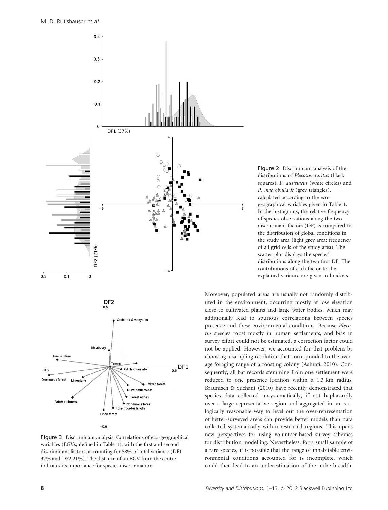

Figure 3 Discriminant analysis. Correlations of eco-geographical variables (EGVs, defined in Table 1), with the first and second discriminant factors, accounting for 58% of total variance (DF1 37% and DF2 21%). The distance of an EGV from the centre indicates its importance for species discrimination.



Moreover, populated areas are usually not randomly distributed in the environment, occurring mostly at low elevation close to cultivated plains and large water bodies, which may additionally lead to spurious correlations between species presence and these environmental conditions. Because Plecotus species roost mostly in human settlements, and bias in survey effort could not be estimated, a correction factor could not be applied. However, we accounted for that problem by choosing a sampling resolution that corresponded to the average foraging range of a roosting colony (Ashrafi, 2010). Consequently, all bat records stemming from one settlement were reduced to one presence location within a 1.3 km radius. Braunisch & Suchant (2010) have recently demonstrated that species data collected unsystematically, if not haphazardly over a large representative region and aggregated in an ecologically reasonable way to level out the over-representation of better-surveyed areas can provide better models than data collected systematically within restricted regions. This opens new perspectives for using volunteer-based survey schemes for distribution modelling. Nevertheless, for a small sample of a rare species, it is possible that the range of inhabitable environmental conditions accounted for is incomplete, which could then lead to an underestimation of the niche breadth.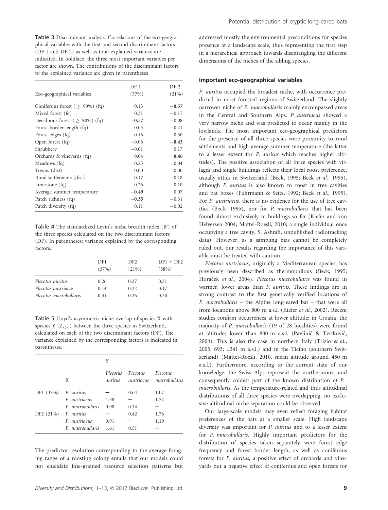Table 3 Discriminant analysis. Correlations of the eco-geographical variables with the first and second discriminant factors (DF 1 and DF 2) as well as total explained variance are indicated. In boldface, the three most important variables per factor are shown. The contributions of the discriminant factors to the explained variance are given in parentheses

|                                     | DF 1    | DF 2    |
|-------------------------------------|---------|---------|
| Eco-geographical variables          | (37%)   | (21%)   |
| Coniferous forest ( $> 90\%$ ) (fq) | 0.13    | $-0.37$ |
| Mixed forest (fq)                   | 0.31    | $-0.17$ |
| Deciduous forest ( $> 90\%$ ) (fq)  | $-0.57$ | $-0.08$ |
| Forest border length (fq)           | 0.03    | $-0.41$ |
| Forest edges (fq)                   | 0.16    | $-0.30$ |
| Open forest (fq)                    | $-0.06$ | $-0.43$ |
| Shrubbery                           | $-0.01$ | 0.17    |
| Orchards & vineyards (fq)           | 0.04    | 0.46    |
| Meadows (fq)                        | 0.25    | 0.04    |
| Towns (dist)                        | 0.00    | 0.00    |
| Rural settlements (dist)            | 0.17    | $-0.18$ |
| Limestone $(fq)$                    | $-0.26$ | $-0.10$ |
| Average summer temperature          | $-0.49$ | 0.07    |
| Patch richness (fq)                 | $-0.35$ | $-0.31$ |
| Patch diversity (fq)                | 0.11    | $-0.02$ |

Table 4 The standardized Levin's niche breadth index (B′) of the three species calculated on the two discriminant factors (DF). In parentheses: variance explained by the corresponding factors.

|                        | DF1<br>(37%) | DF <sub>2</sub><br>(21%) | $DF1 + DF2$<br>(58%) |
|------------------------|--------------|--------------------------|----------------------|
| Plecotus auritus       | 0.26         | 0.37                     | 0.31                 |
| Plecotus austriacus    | 0.14         | 0.22                     | 0.17                 |
| Plecotus macrobullaris | 0.31         | 0.26                     | 0.30                 |

Table 5 Lloyd's asymmetric niche overlap of species X with species Y  $(Z_{x(y)})$  between the three species in Switzerland, calculated on each of the two discriminant factors (DF). The variance explained by the corresponding factors is indicated in parentheses.

|           |                  | Y                   |                        |                           |  |
|-----------|------------------|---------------------|------------------------|---------------------------|--|
|           | X                | Plecotus<br>auritus | Plecotus<br>austriacus | Plecotus<br>macrobullaris |  |
| DF1 (37%) | P. auritus       |                     | 0.64                   | 1.07                      |  |
|           | P. austriacus    | 1.38                |                        | 1.74                      |  |
|           | P. macrobullaris | 0.98                | 0.74                   |                           |  |
| DF2(21%)  | P. auritus       |                     | 0.42                   | 1.76                      |  |
|           | P. austriacus    | 0.91                |                        | 1.19                      |  |
|           | P. macrobullaris | 1.61                | 0.51                   |                           |  |

The predictor resolution corresponding to the average foraging range of a roosting colony entails that our models could not elucidate fine-grained resource selection patterns but

addressed mostly the environmental preconditions for species presence at a landscape scale, thus representing the first step in a hierarchical approach towards disentangling the different dimensions of the niches of the sibling species.

# Important eco-geographical variables

P. auritus occupied the broadest niche, with occurrence predicted in most forested regions of Switzerland. The slightly narrower niche of P. macrobullaris mainly encompassed areas in the Central and Southern Alps. P. austriacus showed a very narrow niche and was predicted to occur mainly in the lowlands. The most important eco-geographical predictors for the presence of all three species were proximity to rural settlements and high average summer temperature (the latter to a lesser extent for P. auritus which reaches higher altitudes). The positive association of all three species with villages and single buildings reflects their local roost preference, usually attics in Switzerland (Beck, 1995; Beck et al., 1995), although P. auritus is also known to roost in tree cavities and bat boxes (Fuhrmann & Seitz, 1992; Beck et al., 1995). For P. austriacus, there is no evidence for the use of tree cavities (Beck, 1995), nor for P. macrobullaris that has been found almost exclusively in buildings so far (Kiefer and von Helversen 2004, Mattei-Roesli, 2010; a single individual once occupying a tree cavity, S. Ashrafi, unpublished radiotracking data). However, as a sampling bias cannot be completely ruled out, our results regarding the importance of this variable must be treated with caution.

Plecotus austriacus, originally a Mediterranean species, has previously been described as thermophilous (Beck, 1995; Horáček et al., 2004). Plecotus macrobullaris was found in warmer, lower areas than P. auritus. These findings are in strong contrast to the first genetically verified locations of P. macrobullaris – the Alpine long-eared bat – that were all from locations above 800 m a.s.l. (Kiefer et al., 2002). Recent studies confirm occurrences at lower altitude: in Croatia, the majority of P. macrobullaris (19 of 28 localities) were found at altitudes lower than 800 m a.s.l. (Pavlinić & Tvrtković, 2004). This is also the case in northern Italy (Trizio et al., 2005; 693;  $\pm 341$  m a.s.l.) and in the Ticino (southern Switzerland) (Mattei-Roesli, 2010, mean altitude around 450 m a.s.l.). Furthermore, according to the current state of our knowledge, the Swiss Alps represent the northernmost and consequently coldest part of the known distribution of P. macrobullaris. As the temperature-related and thus altitudinal distributions of all three species were overlapping, no exclusive altitudinal niche separation could be observed.

Our large-scale models may even reflect foraging habitat preferences of the bats at a smaller scale. High landscape diversity was important for P. auritus and to a lesser extent for P. macrobullaris. Highly important predictors for the distribution of species taken separately were forest edge frequency and forest border length, as well as coniferous forests for P. auritus, a positive effect of orchards and vineyards but a negative effect of coniferous and open forests for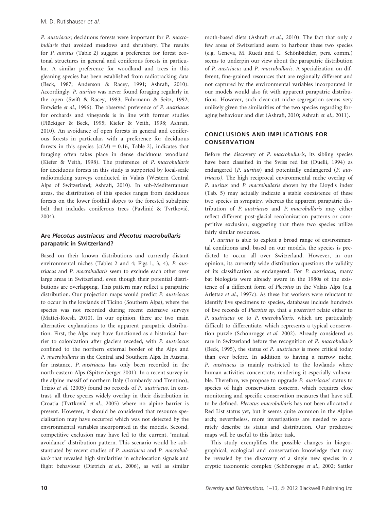P. austriacus; deciduous forests were important for P. macrobullaris that avoided meadows and shrubbery. The results for P. auritus (Table 2) suggest a preference for forest ecotonal structures in general and coniferous forests in particular. A similar preference for woodland and trees in this gleaning species has been established from radiotracking data (Beck, 1987; Anderson & Racey, 1991; Ashrafi, 2010). Accordingly, P. auritus was never found foraging regularly in the open (Swift & Racey, 1983; Fuhrmann & Seitz, 1992; Entwistle et al., 1996). The observed preference of P. austriacus for orchards and vineyards is in line with former studies (Flückiger & Beck, 1995; Kiefer & Veith, 1998; Ashrafi, 2010). An avoidance of open forests in general and coniferous forests in particular, with a preference for deciduous forests in this species  $[c(M) = 0.16,$  Table 2], indicates that foraging often takes place in dense deciduous woodland (Kiefer & Veith, 1998). The preference of P. macrobullaris for deciduous forests in this study is supported by local-scale radiotracking surveys conducted in Valais (Western Central Alps of Switzerland; Ashrafi, 2010). In sub-Mediterranean areas, the distribution of this species ranges from deciduous forests on the lower foothill slopes to the forested subalpine belt that includes coniferous trees (Pavlinić & Tvrtković, 2004).

# Are Plecotus austriacus and Plecotus macrobullaris parapatric in Switzerland?

Based on their known distributions and currently distant environmental niches (Tables 2 and 4; Figs 1, 3, 4), P. austriacus and P. macrobullaris seem to exclude each other over large areas in Switzerland, even though their potential distributions are overlapping. This pattern may reflect a parapatric distribution. Our projection maps would predict P. austriacus to occur in the lowlands of Ticino (Southern Alps), where the species was not recorded during recent extensive surveys (Mattei-Roesli, 2010). In our opinion, there are two main alternative explanations to the apparent parapatric distribution. First, the Alps may have functioned as a historical barrier to colonization after glaciers receded, with P. austriacus confined to the northern external border of the Alps and P. macrobullaris in the Central and Southern Alps. In Austria, for instance, P. austriacus has only been recorded in the north-eastern Alps (Spitzenberger 2001). In a recent survey in the alpine massif of northern Italy (Lombardy and Trentino), Trizio et al. (2005) found no records of P. austriacus. In contrast, all three species widely overlap in their distribution in Croatia (Tvrtković et al., 2005) where no alpine barrier is present. However, it should be considered that resource specialization may have occurred which was not detected by the environmental variables incorporated in the models. Second, competitive exclusion may have led to the current, 'mutual avoidance' distribution pattern. This scenario would be substantiated by recent studies of P. austriacus and P. macrobullaris that revealed high similarities in echolocation signals and flight behaviour (Dietrich et al., 2006), as well as similar moth-based diets (Ashrafi et al., 2010). The fact that only a few areas of Switzerland seem to harbour these two species (e.g. Geneva, M. Ruedi and C. Schönbächler, pers. comm.) seems to underpin our view about the parapatric distribution of P. austriacus and P. macrobullaris. A specialization on different, fine-grained resources that are regionally different and not captured by the environmental variables incorporated in our models would also fit with apparent parapatric distributions. However, such clear-cut niche segregation seems very unlikely given the similarities of the two species regarding foraging behaviour and diet (Ashrafi, 2010; Ashrafi et al., 2011).

# CONCLUSIONS AND IMPLICATIONS FOR CONSERVATION

Before the discovery of P. macrobullaris, its sibling species have been classified in the Swiss red list (Duelli, 1994) as endangered (P. auritus) and potentially endangered (P. austriacus). The high reciprocal environmental niche overlap of P. auritus and P. macrobullaris shown by the Lloyd's index (Tab. 5) may actually indicate a stable coexistence of these two species in sympatry, whereas the apparent parapatric distribution of P. austriacus and P. macrobullaris may either reflect different post-glacial recolonization patterns or competitive exclusion, suggesting that these two species utilize fairly similar resources.

P. auritus is able to exploit a broad range of environmental conditions and, based on our models, the species is predicted to occur all over Switzerland. However, in our opinion, its currently wide distribution questions the validity of its classification as endangered. For P. austriacus, many bat biologists were already aware in the 1980s of the existence of a different form of Plecotus in the Valais Alps (e.g. Arlettaz et al., 1997c). As these bat workers were reluctant to identify live specimens to species, databases include hundreds of live records of Plecotus sp. that a posteriori relate either to P. austriacus or to P. macrobullaris, which are particularly difficult to differentiate, which represents a typical conservation puzzle (Schönrogge et al. 2002). Already considered as rare in Switzerland before the recognition of P. macrobullaris (Beck, 1995), the status of P. austriacus is more critical today than ever before. In addition to having a narrow niche, P. austriacus is mainly restricted to the lowlands where human activities concentrate, rendering it especially vulnerable. Therefore, we propose to upgrade P. austriacus' status to species of high conservation concern, which requires close monitoring and specific conservation measures that have still to be defined. Plecotus macrobullaris has not been allocated a Red List status yet, but it seems quite common in the Alpine arch; nevertheless, more investigations are needed to accurately describe its status and distribution. Our predictive maps will be useful to this latter task.

This study exemplifies the possible changes in biogeographical, ecological and conservation knowledge that may be revealed by the discovery of a single new species in a cryptic taxonomic complex (Schönrogge et al., 2002; Sattler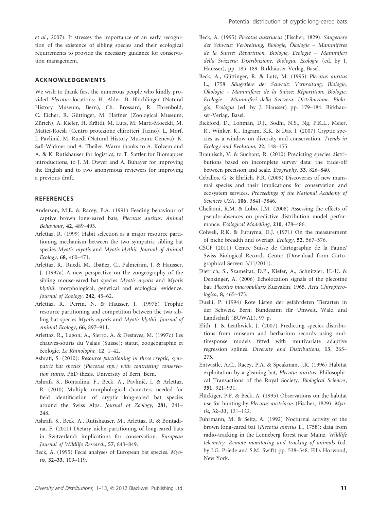et al., 2007). It stresses the importance of an early recognition of the existence of sibling species and their ecological requirements to provide the necessary guidance for conservation management.

# ACKNOWLEDGEMENTS

We wish to thank first the numerous people who kindly provided Plecotus locations: H. Alder, B. Blöchlinger (Natural History Museum, Bern), Ch. Brossard, R. Ehrenbold, C. Eicher, R. Güttinger, M. Haffner (Zoological Museum, Zürich), A. Kiefer, H. Krättli, M. Lutz, M. Marti-Moeckli, M. Mattei-Roesli (Centro protezione chirotteri Ticino), L. Morf, I. Pavlinić, M. Ruedi (Natural History Museum, Geneva), K. Safi-Widmer and A. Theiler. Warm thanks to A. Kolzem and A. & K. Rutishauser for logistics, to T. Sattler for Biomapper introductions, to J. M. Dwyer and A. Buhayer for improving the English and to two anonymous reviewers for improving a previous draft.

# **REFERENCES**

- Anderson, M.E. & Racey, P.A. (1991) Feeding behaviour of captive brown long-eared bats, Plecotus auritus. Animal Behaviour, 42, 489–493.
- Arlettaz, R. (1999) Habit selection as a major resource partitioning mechanism between the two sympatric sibling bat species Myotis myotis and Myotis blythii. Journal of Animal Ecology, 68, 460–471.
- Arlettaz, R., Ruedi, M., Ibáñez, C., Palmeirim, J. & Hausser, J. (1997a) A new perspective on the zoogeography of the sibling mouse-eared bat species Myotis myotis and Myotis blythii: morphological, genetical and ecological evidence. Journal of Zoology, 242, 45–62.
- Arlettaz, R., Perrin, N. & Hausser, J. (1997b) Trophic resource partitioning and competition between the two sibling bat species Myotis myotis and Myotis blythii. Journal of Animal Ecology, 66, 897–911.
- Arlettaz, R., Lugon, A., Sierro, A. & Desfayes, M. (1997c) Les chauves-souris du Valais (Suisse): statut, zoogéographie et écologie. Le Rhinolophe, 12, 1-42.
- Ashrafi, S. (2010): Resource partitioning in three cryptic, sympatric bat species (Plecotus spp.) with contrasting conservation status. PhD thesis, University of Bern, Bern.
- Ashrafi, S., Bontadina, F., Beck, A., Pavlinić, I. & Arlettaz, R. (2010) Multiple morphological characters needed for field identification of cryptic long-eared bat species around the Swiss Alps. Journal of Zoology, 281, 241– 248.
- Ashrafi, S., Beck, A., Rutishauser, M., Arlettaz, R. & Bontadina, F. (2011) Dietary niche partitioning of long-eared bats in Switzerland: implications for conservation. European Journal of Wildlife Research, 57, 843–849.
- Beck, A. (1995) Fecal analyses of European bat species. Myotis, 32–33, 109–119.
- Beck, A. (1995) Plecotus austriacus (Fischer, 1829). Säugetiere der Schweiz: Verbreitung, Biologie, Ökologie – Mammifères de la Suisse: Répartition, Biologie, Ecologie – Mammiferi della Svizzera: Distribuzione, Biologia, Ecologia (ed. by J. Hausser), pp. 185–189. Birkhäuser-Verlag, Basel.
- Beck, A., Güttinger, R. & Lutz, M. (1995) Plecotus auritus L., 1758. Säugetiere der Schweiz: Verbreitung, Biologie, Ökologie - Mammifères de la Suisse: Répartition, Biologie, Ecologie - Mammiferi della Svizzera: Distribuzione, Biologia, Ecologia (ed. by J. Hausser) pp. 179-184. Birkhäuser-Verlag, Basel.
- Bickford, D., Lohman, D.J., Sodhi, N.S., Ng, P.K.L., Meier, R., Winker, K., Ingram, K.K. & Das, I. (2007) Cryptic species as a window on diversity and conservation. Trends in Ecology and Evolution, 22, 148–155.
- Braunisch, V. & Suchant, R. (2010) Predicting species distributions based on incomplete survey data: the trade-off between precision and scale. Ecography, 33, 826–840.
- Ceballos, G. & Ehrlich, P.R. (2009) Discoveries of new mammal species and their implications for conservation and ecosystem services. Proceedings of the National Academy of Sciences USA, 106, 3841–3846.
- Chefaoui, R.M. & Lobo, J.M. (2008) Assessing the effects of pseudo-absences on predictive distribution model performance. Ecological Modelling, 210, 478–486.
- Colwell, R.K. & Futuyma, D.J. (1971) On the measurement of niche breadth and overlap. Ecology, 52, 567–576.
- CSCF (2011) Centre Suisse de Cartographie de la Faune/ Swiss Biological Records Center (Download from Cartographical Server: 3/11/2011).
- Dietrich, S., Szameitat, D.P., Kiefer, A., Schnitzler, H.-U. & Denzinger, A. (2006) Echolocation signals of the plecotine bat, Plecotus macrobullaris Kuzyakin, 1965. Acta Chiropterologica, 8, 465–475.
- Duelli, P. (1994) Rote Listen der gefährdeten Tierarten in der Schweiz. Bern, Bundesamt für Umwelt, Wald und Landschaft (BUWAL), 97 p.
- Elith, J. & Leathwick, J. (2007) Predicting species distributions from museum and herbarium records using multiresponse models fitted with multivariate adaptive regression splines. Diversity and Distributions, 13, 265– 275.
- Entwistle, A.C., Racey, P.A. & Speakman, J.R. (1996) Habitat exploitation by a gleaning bat, Plecotus auritus. Philosophical Transactions of the Royal Society. Biological Sciences, 351, 921–931.
- Flückiger, P.F. & Beck, A. (1995) Observations on the habitat use for hunting by Plecotus austriacus (Fischer, 1829). Myotis, 32–33, 121–122.
- Fuhrmann, M. & Seitz, A. (1992) Nocturnal activity of the brown long-eared bat (Plecotus auritus L., 1758): data from radio-tracking in the Lenneberg forest near Mainz. Wildlife telemetry. Remote monitoring and tracking of animals (ed. by I.G. Priede and S.M. Swift) pp. 538–548. Ellis Horwood, New York.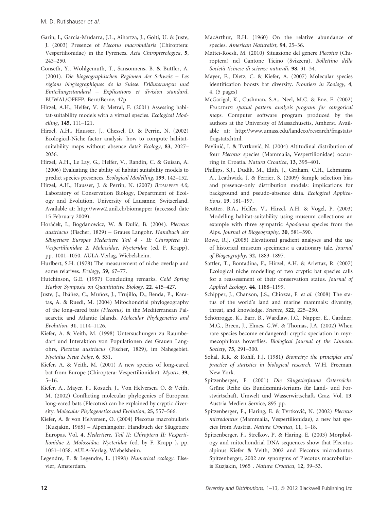- Garin, I., García-Mudarra, I.L., Aihartza, I., Goiti, U. & Juste, J. (2003) Presence of Plecotus macrobullaris (Chiroptera: Vespertilionidae) in the Pyrenees. Acta Chiropterologica, 5, 243–250.
- Gonseth, Y., Wohlgemuth, T., Sansonnens, B. & Buttler, A. (2001). Die biogeographischen Regionen der Schweiz – Les régions biogéographiques de la Suisse. Erläuterungen und Einteilungsstandard – Explications et division standard. BUWAL/OFEFP, Bern/Berne, 47p.
- Hirzel, A.H., Helfer, V. & Metral, F. (2001) Assessing habitat-suitability models with a virtual species. Ecological Modelling, 145, 111–121.
- Hirzel, A.H., Hausser, J., Chessel, D. & Perrin, N. (2002) Ecological-Niche factor analysis: how to compute habitatsuitability maps without absence data? Ecology, 83, 2027– 2036.
- Hirzel, A.H., Le Lay, G., Helfer, V., Randin, C. & Guisan, A. (2006) Evaluating the ability of habitat suitability models to predict species presences. Ecological Modelling, 199, 142–152.
- Hirzel, A.H., Hausser, J. & Perrin, N. (2007) BIOMAPPER 4.0, Laboratory of Conservation Biology, Department of Ecology and Evolution, University of Lausanne, Switzerland. Available at: http://www2.unil.ch/biomapper (accessed date 15 February 2009).
- Horáček, I., Bogdanowicz, W. & Đulić, B. (2004). Plecotus austriacus (Fischer, 1829) – Graues Langohr. Handbuch der Säugetiere Europas Fledertiere Teil 4 - II: Chiroptera II: Vespertilionidae 2, Molossidae, Nycteridae (ed. F. Krapp), pp. 1001–1050. AULA-Verlag, Wiebelsheim.
- Hurlbert, S.H. (1978) The measurement of niche overlap and some relatives. Ecology, 59, 67–77.
- Hutchinson, G.E. (1957) Concluding remarks. Cold Spring Harbor Symposia on Quantitative Biology, 22, 415–427.
- Juste, J., Ibáñez, C., Muñoz, J., Trujillo, D., Benda, P., Karatas, A. & Ruedi, M. (2004) Mitochondrial phylogeography of the long-eared bats (Plecotus) in the Mediterranean Palaearctic and Atlantic Islands. Molecular Phylogenetics and Evolution, 31, 1114–1126.
- Kiefer, A. & Veith, M. (1998) Untersuchungen zu Raumbedarf und Interaktion von Populationen des Grauen Langohrs, Plecotus austriacus (Fischer, 1829), im Nahegebiet. Nyctalus Neue Folge, 6, 531.
- Kiefer, A. & Veith, M. (2001) A new species of long-eared bat from Europe (Chiroptera: Vespertilionidae). Myotis, 39, 5–16.
- Kiefer, A., Mayer, F., Kosuch, J., Von Helversen, O. & Veith, M. (2002) Conflicting molecular phylogenies of European long-eared bats (Plecotus) can be explained by cryptic diversity. Molecular Phylogenetics and Evolution, 25, 557–566.
- Kiefer, A. & von Helversen, O. (2004) Plecotus macrobullaris (Kuzjakin, 1965) – Alpenlangohr. Handbuch der Säugetiere Europas, Vol. 4, Fledertiere, Teil II: Chiroptera II: Vespertilionidae 2, Molossidae, Nycteridae (ed. by F. Krapp ), pp. 1051–1058. AULA-Verlag, Wiebelsheim.
- Legendre, P. & Legendre, L. (1998) Numerical ecology. Elsevier, Amsterdam.
- MacArthur, R.H. (1960) On the relative abundance of species. American Naturalist, 94, 25–36.
- Mattei-Roesli, M. (2010) Situazione del genere Plecotus (Chiroptera) nel Cantone Ticino (Svizzera). Bollettino della Società ticinese di scienze naturali, 98, 31-34.
- Mayer, F., Dietz, C. & Kiefer, A. (2007) Molecular species identification boosts bat diversity. Frontiers in Zoology, 4, 4. (5 pages)
- McGarigal, K., Cushman, S.A., Neel, M.C. & Ene, E. (2002) FRAGSTATS: spatial pattern analysis program for categorical maps. Computer software program produced by the authors at the University of Massachusetts, Amherst. Available at: http://www.umass.edu/landeco/research/fragstats/ fragstats.html.
- Pavlinić, I. & Tvrtković, N. (2004) Altitudinal distribution of four Plecotus species (Mammalia, Vespertilionidae) occurring in Croatia. Natura Croatica, 13, 395–401.
- Phillips, S.J., Dudík, M., Elith, J., Graham, C.H., Lehmanns, A., Leathwick, J. & Ferrier, S. (2009) Sample selection bias and presence-only distribution models: implications for background and pseudo-absence data. Ecological Applications, 19, 181–197.
- Reutter, B.A., Helfer, V., Hirzel, A.H. & Vogel, P. (2003) Modelling habitat-suitability using museum collections: an example with three sympatric Apodemus species from the Alps. Journal of Biogeography, 30, 581–590.
- Rowe, R.J. (2005) Elevational gradient analyses and the use of historical museum specimens: a cautionary tale. Journal of Biogeography, 32, 1883–1897.
- Sattler, T., Bontadina, F., Hirzel, A.H. & Arlettaz, R. (2007) Ecological niche modelling of two cryptic bat species calls for a reassessment of their conservation status. Journal of Applied Ecology, 44, 1188–1199.
- Schipper, J., Chanson, J.S., Chiozza, F. et al. (2008) The status of the world's land and marine mammals: diversity, threat, and knowledge. Science, 322, 225–230.
- Schönrogge, K., Barr, B., Wardlaw, J.C., Napper, E., Gardner, M.G., Breen, J., Elmes, G.W. & Thomas, J.A. (2002) When rare species become endangered: cryptic speciation in myrmecophilous hoverflies. Biological Journal of the Linnean Society, 75, 291–300.
- Sokal, R.R. & Rohlf, F.J. (1981) Biometry: the principles and practice of statistics in biological research. W.H. Freeman, New York.
- Spitzenberger, F. (2001) Die Säugetierfauna Österreichs. Grüne Reihe des Bundesministeriums für Land- und Forstwirtschaft, Umwelt und Wasserwirtschaft, Graz, Vol. 13. Austria Medien Service, 895 pp.
- Spitzenberger, F., Haring, E. & Tvrtković, N. (2002) Plecotus microdontus (Mammalia, Vespertilionidae), a new bat species from Austria. Natura Croatica, 11, 1–18.
- Spitzenberger, F., Strelkov, P. & Haring, E. (2003) Morphology and mitochondrial DNA sequences show that Plecotus alpinus Kiefer & Veith, 2002 and Plecotus microdontus Spitzenberger, 2002 are synonyms of Plecotus macrobullaris Kuzjakin, 1965 . Natura Croatica, 12, 39–53.